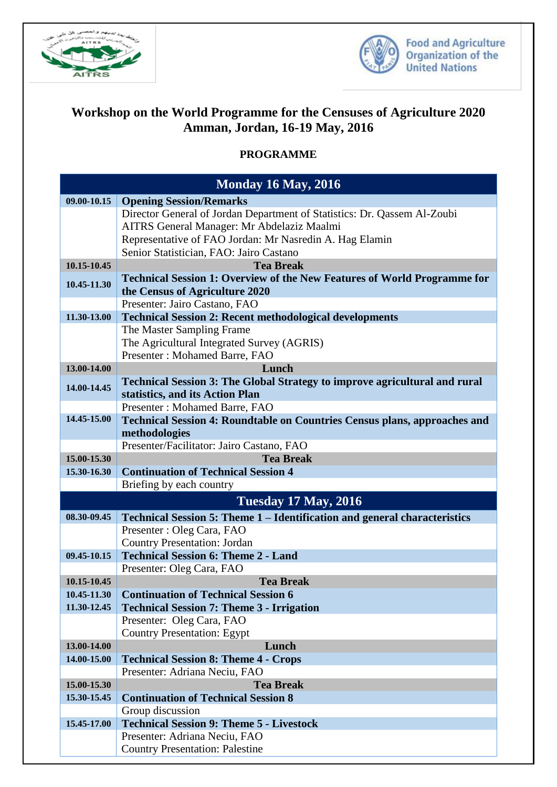



## **Workshop on the World Programme for the Censuses of Agriculture 2020 Amman, Jordan, 16-19 May, 2016**

## **PROGRAMME**

| <b>Monday 16 May, 2016</b>                                                        |  |
|-----------------------------------------------------------------------------------|--|
| <b>Opening Session/Remarks</b>                                                    |  |
| Director General of Jordan Department of Statistics: Dr. Qassem Al-Zoubi          |  |
| AITRS General Manager: Mr Abdelaziz Maalmi                                        |  |
| Representative of FAO Jordan: Mr Nasredin A. Hag Elamin                           |  |
| Senior Statistician, FAO: Jairo Castano                                           |  |
| <b>Tea Break</b>                                                                  |  |
| Technical Session 1: Overview of the New Features of World Programme for          |  |
| the Census of Agriculture 2020                                                    |  |
| Presenter: Jairo Castano, FAO                                                     |  |
| <b>Technical Session 2: Recent methodological developments</b>                    |  |
| The Master Sampling Frame                                                         |  |
| The Agricultural Integrated Survey (AGRIS)                                        |  |
| Presenter: Mohamed Barre, FAO                                                     |  |
| Lunch                                                                             |  |
| <b>Technical Session 3: The Global Strategy to improve agricultural and rural</b> |  |
| statistics, and its Action Plan                                                   |  |
| Presenter: Mohamed Barre, FAO                                                     |  |
| Technical Session 4: Roundtable on Countries Census plans, approaches and         |  |
| methodologies                                                                     |  |
| Presenter/Facilitator: Jairo Castano, FAO                                         |  |
| <b>Tea Break</b>                                                                  |  |
| <b>Continuation of Technical Session 4</b><br>Briefing by each country            |  |
|                                                                                   |  |
| <b>Tuesday 17 May, 2016</b>                                                       |  |
| Technical Session 5: Theme 1 – Identification and general characteristics         |  |
| Presenter : Oleg Cara, FAO                                                        |  |
| <b>Country Presentation: Jordan</b>                                               |  |
| <b>Technical Session 6: Theme 2 - Land</b>                                        |  |
| Presenter: Oleg Cara, FAO                                                         |  |
| <b>Tea Break</b>                                                                  |  |
| <b>Continuation of Technical Session 6</b>                                        |  |
| <b>Technical Session 7: Theme 3 - Irrigation</b>                                  |  |
| Presenter: Oleg Cara, FAO                                                         |  |
| <b>Country Presentation: Egypt</b>                                                |  |
| Lunch                                                                             |  |
| <b>Technical Session 8: Theme 4 - Crops</b>                                       |  |
| Presenter: Adriana Neciu, FAO<br><b>Tea Break</b>                                 |  |
| <b>Continuation of Technical Session 8</b>                                        |  |
| Group discussion                                                                  |  |
| <b>Technical Session 9: Theme 5 - Livestock</b>                                   |  |
| Presenter: Adriana Neciu, FAO                                                     |  |
|                                                                                   |  |
|                                                                                   |  |